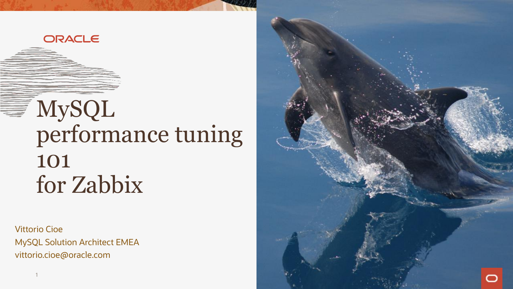

## MySQL New Register of the state of the state of the state of the state of the state of the state of the state of the state of the state of the state of the state of the state of the state of the state of the state of the s 101 for Zabbix

Vittorio Cioe MySQL Solution Architect EMEA vittorio.cioe@oracle.com

1

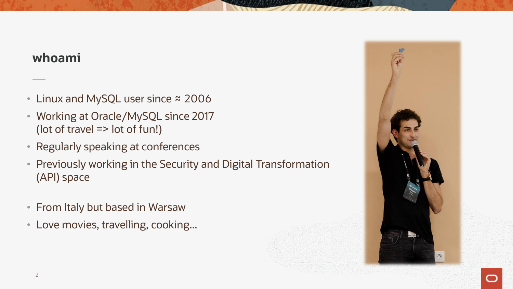#### **whoami**

- Linux and MySQL user since ≈ 2006
- Working at Oracle/MySQL since 2017 (lot of travel => lot of fun!)
- Regularly speaking at conferences
- Previously working in the Security and Digital Transformation (API) space
- From Italy but based in Warsaw
- Love movies, travelling, cooking...

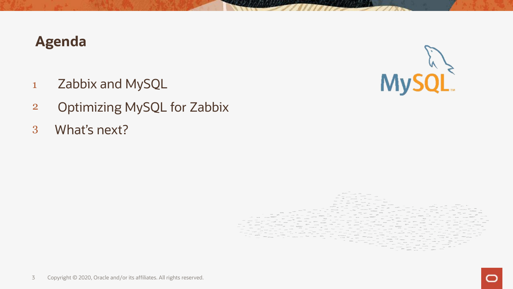### **Agenda**

- Zabbix and MySQL
- Optimizing MySQL for Zabbix
- What's next?



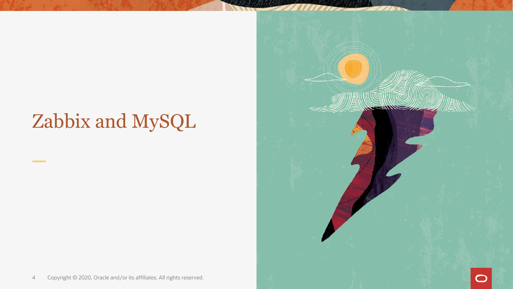## Zabbix and MySQL



4 Copyright © 2020, Oracle and/or its affiliates. All rights reserved.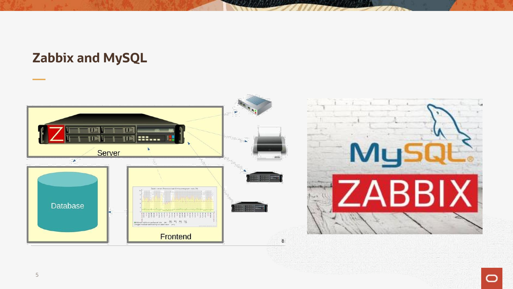#### **Zabbix and MySQL**



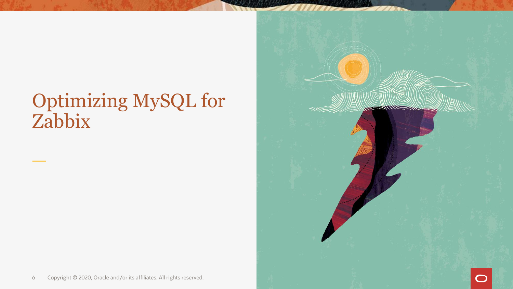# Zabbix

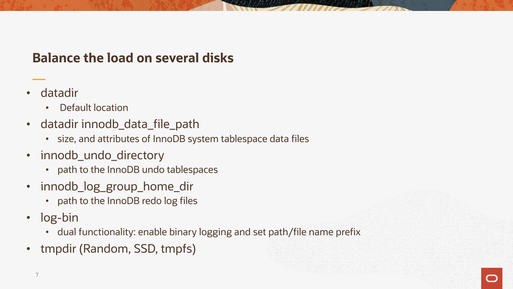#### **Balance the load on several disks**

- datadir
	- Default location
- datadir innodb\_data\_file\_path
	- size, and attributes of InnoDB system tablespace data files
- innodb\_undo\_directory
	- path to the InnoDB undo tablespaces
- innodb\_log\_group\_home\_dir
	- path to the InnoDB redo log files
- log-bin
	- dual functionality: enable binary logging and set path/file name prefix
- tmpdir (Random, SSD, tmpfs)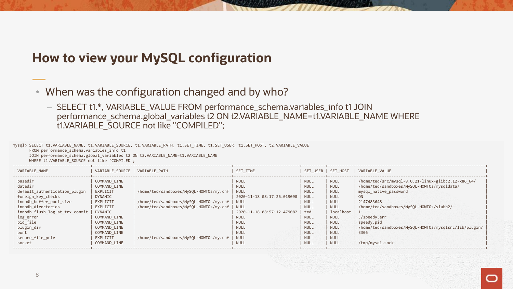#### **How to view your MySQL configuration**

- When was the configuration changed and by who?
	- SELECT t1.\*, VARIABLE\_VALUE FROM performance\_schema.variables\_info t1 JOIN performance\_schema.global\_variables t2 ON t2.VARIABLE\_NAME=t1.VARIABLE\_NAME WHERE t1.VARIABLE\_SOURCE not like "COMPILED";

| FROM performance schema.variables info t1<br>WHERE t1.VARIABLE SOURCE not like "COMPILED"; |                                 | mysql> SELECT t1.VARIABLE NAME, t1.VARIABLE SOURCE, t1.VARIABLE PATH, t1.SET TIME, t1.SET USER, t1.SET HOST, t2.VARIABLE VALUE<br>JOIN performance schema.global variables t2 ON t2.VARIABLE NAME=t1.VARIABLE NAME |                            |             |             |                                                       |
|--------------------------------------------------------------------------------------------|---------------------------------|--------------------------------------------------------------------------------------------------------------------------------------------------------------------------------------------------------------------|----------------------------|-------------|-------------|-------------------------------------------------------|
| VARIABLE NAME                                                                              | VARIABLE SOURCE   VARIABLE PATH |                                                                                                                                                                                                                    | SET TIME                   |             |             | SET USER   SET HOST   VARIABLE VALUE                  |
| basedir                                                                                    | COMMAND LINE                    |                                                                                                                                                                                                                    | NULL                       | <b>NULL</b> | <b>NULL</b> | /home/ted/src/mysql-8.0.21-linux-glibc2.12-x86 64/    |
| datadir                                                                                    | COMMAND LINE                    |                                                                                                                                                                                                                    | <b>NULL</b>                | <b>NULL</b> | <b>NULL</b> | /home/ted/sandboxes/MySQL-HOWTOs/mysqldata/           |
| default authentication plugin                                                              | EXPLICIT                        | /home/ted/sandboxes/MySQL-HOWTOs/my.cnf                                                                                                                                                                            | NULL                       | <b>NULL</b> | <b>NULL</b> | mysql_native_password                                 |
| foreign key checks                                                                         | DYNAMIC                         |                                                                                                                                                                                                                    | 2020-11-18 08:17:26.019090 | NULL        | <b>NULL</b> | <b>ON</b>                                             |
| innodb buffer pool size                                                                    | EXPLICIT                        | /home/ted/sandboxes/MySQL-HOWTOs/my.cnf   NULL                                                                                                                                                                     |                            | <b>NULL</b> | <b>NULL</b> | 2147483648                                            |
| innodb directories                                                                         | EXPLICIT                        | /home/ted/sandboxes/MySQL-HOWTOs/my.cnf   NULL                                                                                                                                                                     |                            | <b>NULL</b> | <b>NULL</b> | /home/ted/sandboxes/MySQL-HOWTOs/slabb2/              |
| innodb_flush_log_at_trx_commit                                                             | DYNAMIC                         |                                                                                                                                                                                                                    | 2020-11-18 08:57:12.479082 | ted         | localhost   |                                                       |
| log_error                                                                                  | COMMAND LINE                    |                                                                                                                                                                                                                    | <b>NULL</b>                | <b>NULL</b> | <b>NULL</b> | $./$ speedy.err                                       |
| pid file                                                                                   | COMMAND LINE                    |                                                                                                                                                                                                                    | NULL                       | <b>NULL</b> | NULL        | speedy.pid                                            |
| plugin_dir                                                                                 | COMMAND LINE                    |                                                                                                                                                                                                                    | <b>NULL</b>                | <b>NULL</b> | <b>NULL</b> | /home/ted/sandboxes/MySQL-HOWTOs/mysqlsrc/lib/plugin/ |
| port                                                                                       | COMMAND LINE                    |                                                                                                                                                                                                                    | <b>NULL</b>                | <b>NULL</b> | <b>NULL</b> | 3306                                                  |
| secure file priv                                                                           | EXPLICIT                        | /home/ted/sandboxes/MySQL-HOWTOs/my.cnf                                                                                                                                                                            | NULL                       | <b>NULL</b> | NULL        |                                                       |
| socket                                                                                     | COMMAND LINE                    |                                                                                                                                                                                                                    | <b>NULL</b>                | <b>NULL</b> | <b>NULL</b> | /tmp/mysql.sock                                       |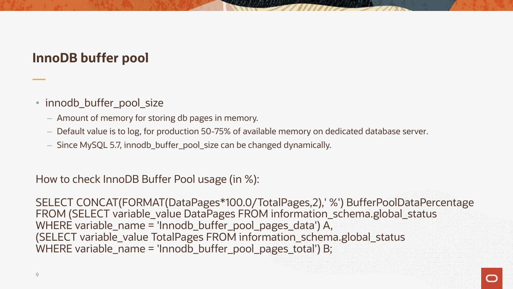#### **InnoDB buffer pool**

- innodb\_buffer\_pool\_size
	- Amount of memory for storing db pages in memory.
	- Default value is to log, for production 50-75% of available memory on dedicated database server.
	- Since MySQL 5.7, innodb\_buffer\_pool\_size can be changed dynamically.

How to check InnoDB Buffer Pool usage (in %):

SELECT CONCAT(FORMAT(DataPages\*100.0/TotalPages,2), ' %') BufferPoolDataPercentage FROM (SELECT variable\_value DataPages FROM information\_schema.global\_status WHERE variable\_name = 'Innodb\_buffer\_pool\_pages\_data') A, (SELECT variable\_value TotalPages FROM information\_schema.global\_status WHERE variable\_name = 'Innodb\_buffer\_pool\_pages\_total') B;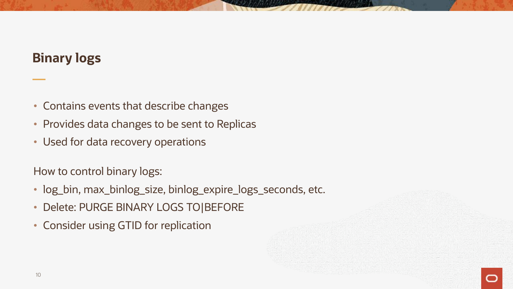#### **Binary logs**

- Contains events that describe changes
- Provides data changes to be sent to Replicas
- Used for data recovery operations

How to control binary logs:

- log\_bin, max\_binlog\_size, binlog\_expire\_logs\_seconds, etc.
- Delete: PURGE BINARY LOGS TO|BEFORE
- Consider using GTID for replication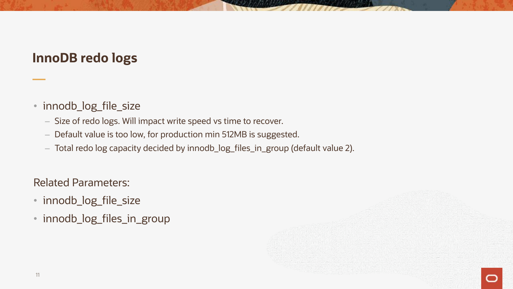#### **InnoDB redo logs**

- innodb\_log\_file\_size
	- Size of redo logs. Will impact write speed vs time to recover.
	- Default value is too low, for production min 512MB is suggested.
	- Total redo log capacity decided byinnodb\_log\_files\_in\_group (default value 2).

Related Parameters:

- innodb\_log\_file\_size
- innodb\_log\_files\_in\_group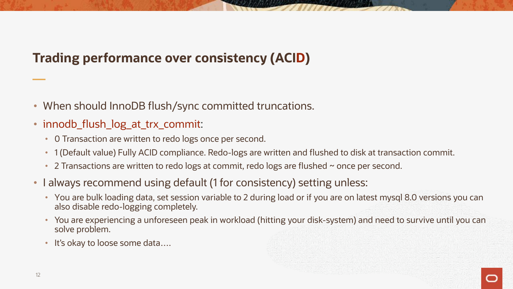#### **Trading performance over consistency (ACID)**

- When should InnoDB flush/sync committed truncations.
- innodb\_flush\_log\_at\_trx\_commit:
	- 0 Transaction are written to redo logs once per second.
	- 1 (Default value) Fully ACID compliance. Redo-logs are written and flushed to disk at transaction commit.
	- 2 Transactions are written to redo logs at commit, redo logs are flushed ~ once per second.
- I always recommend using default (1 for consistency) setting unless:
	- You are bulk loading data, set session variable to 2 during load or if you are on latest mysql 8.0 versions you can also disable redo-logging completely.
	- You are experiencing a unforeseen peak in workload (hitting your disk-system) and need to survive until you can solve problem.
	- It's okay to loose some data....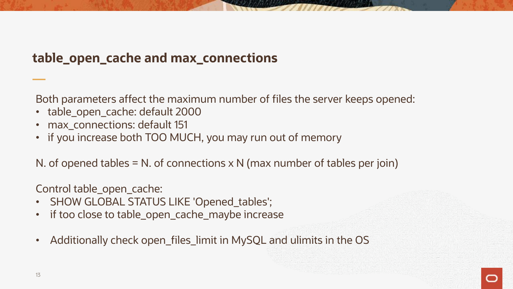#### **table\_open\_cache and max\_connections**

Both parameters affect the maximum number of files the server keeps opened:

- table\_open\_cache: default 2000
- max connections: default 151
- if you increase both TOO MUCH, you may run out of memory

N. of opened tables = N. of connections  $x \, N$  (max number of tables per join)

Control table\_open\_cache:

- SHOW GLOBAL STATUS LIKE 'Opened\_tables';
- if too close to table\_open\_cache\_maybe increase
- Additionally check open\_files\_limit in MySQL and ulimits in the OS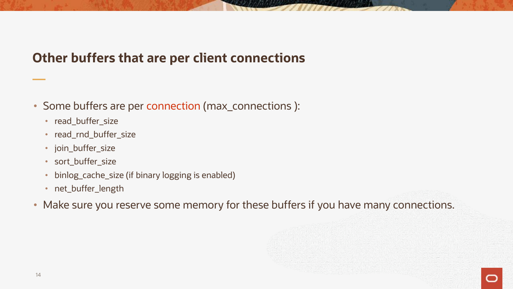#### **Other buffers that are per client connections**

- Some buffers are per connection (max\_connections ):
	- read\_buffer\_size
	- read\_rnd\_buffer\_size
	- join\_buffer\_size
	- sort\_buffer\_size
	- binlog\_cache\_size (if binary logging is enabled)
	- net\_buffer\_length
- Make sure you reserve some memory for these buffers if you have many connections.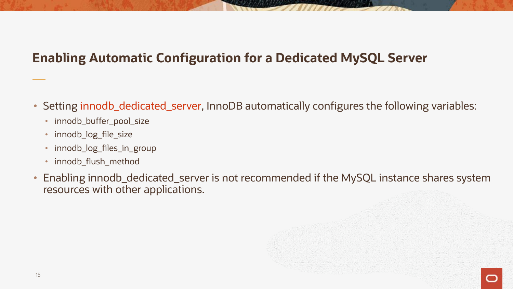#### **Enabling Automatic Configuration for a Dedicated MySQL Server**

- Setting innodb\_dedicated\_server, InnoDB automatically configures the following variables:
	- innodb\_buffer\_pool\_size
	- innodb\_log\_file\_size
	- innodb\_log\_files\_in\_group
	- innodb\_flush\_method
- Enabling innodb\_dedicated\_server is not recommended if the MySQL instance shares system resources with other applications.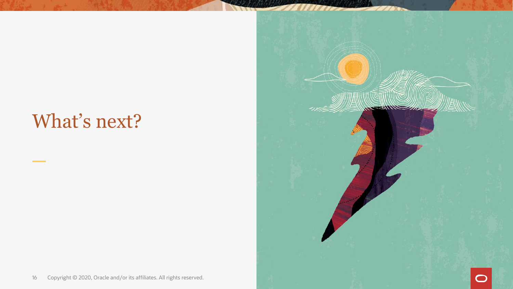### What's next?



16 Copyright © 2020, Oracle and/or its affiliates. All rights reserved.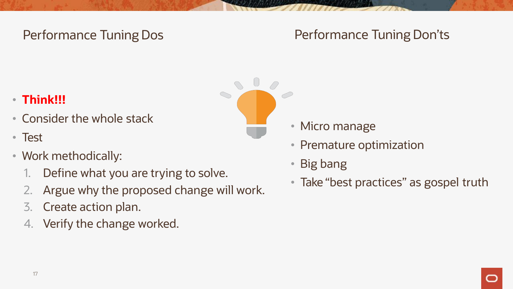#### Performance Tuning Dos

#### Performance Tuning Don'ts

- **Think!!!**
- Consider the whole stack
- Test
- Work methodically:
	- 1. Define what you are trying to solve.
	- 2. Argue why the proposed change will work.
	-
	- 3. Create action plan.<br>4. Verify the change worked.



- Micro manage
- Premature optimization
- Big bang
- Take "best practices" as gospel truth